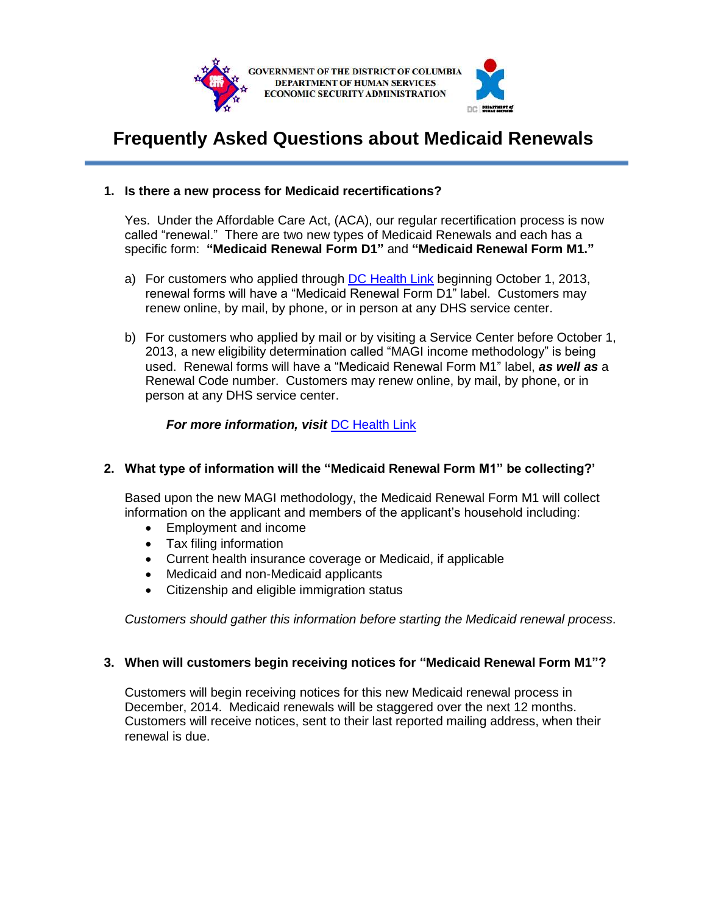

# **Frequently Asked Questions about Medicaid Renewals**

## **1. Is there a new process for Medicaid recertifications?**

Yes. Under the Affordable Care Act, (ACA), our regular recertification process is now called "renewal." There are two new types of Medicaid Renewals and each has a specific form: **"Medicaid Renewal Form D1"** and **"Medicaid Renewal Form M1."**

- a) For customers who applied through [DC Health Link](https://www.dchealthlink.com/) beginning October 1, 2013, renewal forms will have a "Medicaid Renewal Form D1" label. Customers may renew online, by mail, by phone, or in person at any DHS service center.
- b) For customers who applied by mail or by visiting a Service Center before October 1, 2013, a new eligibility determination called "MAGI income methodology" is being used. Renewal forms will have a "Medicaid Renewal Form M1" label, *as well as* a Renewal Code number. Customers may renew online, by mail, by phone, or in person at any DHS service center.

## *For more information, visit* [DC Health Link](https://dchealthlink.com/renewalM1)

## **2. What type of information will the "Medicaid Renewal Form M1" be collecting?'**

Based upon the new MAGI methodology, the Medicaid Renewal Form M1 will collect information on the applicant and members of the applicant's household including:

- Employment and income
- Tax filing information
- Current health insurance coverage or Medicaid, if applicable
- Medicaid and non-Medicaid applicants
- Citizenship and eligible immigration status

*Customers should gather this information before starting the Medicaid renewal process*.

#### **3. When will customers begin receiving notices for "Medicaid Renewal Form M1"?**

Customers will begin receiving notices for this new Medicaid renewal process in December, 2014. Medicaid renewals will be staggered over the next 12 months. Customers will receive notices, sent to their last reported mailing address, when their renewal is due.